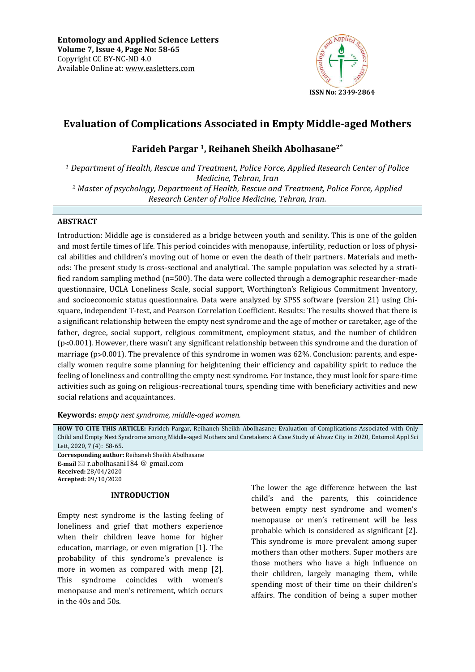

# **Evaluation of Complications Associated in Empty Middle-aged Mothers**

# **Farideh Pargar 1, Reihaneh Sheikh Abolhasane2 \***

*<sup>1</sup> Department of Health, Rescue and Treatment, Police Force, Applied Research Center of Police Medicine, Tehran, Iran <sup>2</sup> Master of psychology, Department of Health, Rescue and Treatment, Police Force, Applied Research Center of Police Medicine, Tehran, Iran.*

## **ABSTRACT**

Introduction: Middle age is considered as a bridge between youth and senility. This is one of the golden and most fertile times of life. This period coincides with menopause, infertility, reduction or loss of physical abilities and children's moving out of home or even the death of their partners. Materials and methods: The present study is cross-sectional and analytical. The sample population was selected by a stratified random sampling method (n=500). The data were collected through a demographic researcher-made questionnaire, UCLA Loneliness Scale, social support, Worthington's Religious Commitment Inventory, and socioeconomic status questionnaire. Data were analyzed by SPSS software (version 21) using Chisquare, independent T-test, and Pearson Correlation Coefficient. Results: The results showed that there is a significant relationship between the empty nest syndrome and the age of mother or caretaker, age of the father, degree, social support, religious commitment, employment status, and the number of children (p˂0.001). However, there wasn't any significant relationship between this syndrome and the duration of marriage ( $p > 0.001$ ). The prevalence of this syndrome in women was 62%. Conclusion: parents, and especially women require some planning for heightening their efficiency and capability spirit to reduce the feeling of loneliness and controlling the empty nest syndrome. For instance, they must look for spare-time activities such as going on religious-recreational tours, spending time with beneficiary activities and new social relations and acquaintances*.*

**Keywords:** *empty nest syndrome, middle-aged women.*

**HOW TO CITE THIS ARTICLE:** Farideh Pargar, Reihaneh Sheikh Abolhasane; Evaluation of Complications Associated with Only Child and Empty Nest Syndrome among Middle-aged Mothers and Caretakers: A Case Study of Ahvaz City in 2020, Entomol Appl Sci Lett, 2020, 7 (4): 58-65.

**Corresponding author:** Reihaneh Sheikh Abolhasane **E-mail** ⊠ r.abolhasani184 @ gmail.com **Received:** 28/04/2020 **Accepted:** 09/10/2020

### **INTRODUCTION**

Empty nest syndrome is the lasting feeling of loneliness and grief that mothers experience when their children leave home for higher education, marriage, or even migration [1]. The probability of this syndrome's prevalence is more in women as compared with menp [2]. This syndrome coincides with women's menopause and men's retirement, which occurs in the 40s and 50s.

The lower the age difference between the last child's and the parents, this coincidence between empty nest syndrome and women's menopause or men's retirement will be less probable which is considered as significant [2]. This syndrome is more prevalent among super mothers than other mothers. Super mothers are those mothers who have a high influence on their children, largely managing them, while spending most of their time on their children's affairs. The condition of being a super mother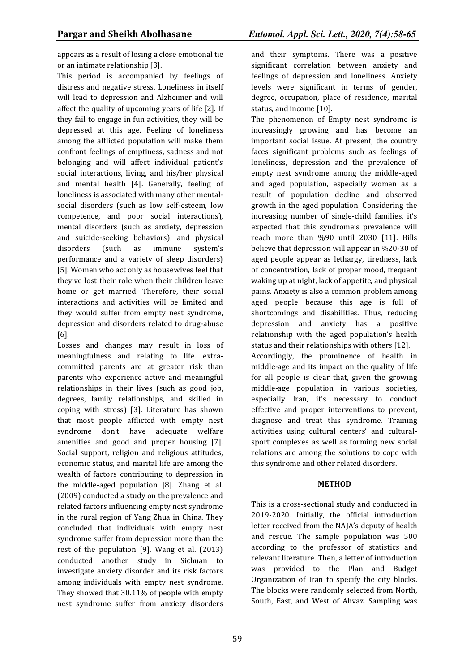appears as a result of losing a close emotional tie or an intimate relationship [3].

This period is accompanied by feelings of distress and negative stress. Loneliness in itself will lead to depression and Alzheimer and will affect the quality of upcoming years of life [2]. If they fail to engage in fun activities, they will be depressed at this age. Feeling of loneliness among the afflicted population will make them confront feelings of emptiness, sadness and not belonging and will affect individual patient's social interactions, living, and his/her physical and mental health [4]. Generally, feeling of loneliness is associated with many other mentalsocial disorders (such as low self-esteem, low competence, and poor social interactions), mental disorders (such as anxiety, depression and suicide-seeking behaviors), and physical disorders (such as immune system's performance and a variety of sleep disorders) [5]. Women who act only as housewives feel that they've lost their role when their children leave home or get married. Therefore, their social interactions and activities will be limited and they would suffer from empty nest syndrome, depression and disorders related to drug-abuse [6].

Losses and changes may result in loss of meaningfulness and relating to life. extracommitted parents are at greater risk than parents who experience active and meaningful relationships in their lives (such as good job, degrees, family relationships, and skilled in coping with stress) [3]. Literature has shown that most people afflicted with empty nest syndrome don't have adequate welfare amenities and good and proper housing [7]. Social support, religion and religious attitudes, economic status, and marital life are among the wealth of factors contributing to depression in the middle-aged population [8]. Zhang et al. (2009) conducted a study on the prevalence and related factors influencing empty nest syndrome in the rural region of Yang Zhua in China. They concluded that individuals with empty nest syndrome suffer from depression more than the rest of the population [9]. Wang et al. (2013) conducted another study in Sichuan to investigate anxiety disorder and its risk factors among individuals with empty nest syndrome. They showed that 30.11% of people with empty nest syndrome suffer from anxiety disorders

and their symptoms. There was a positive significant correlation between anxiety and feelings of depression and loneliness. Anxiety levels were significant in terms of gender, degree, occupation, place of residence, marital status, and income [10].

The phenomenon of Empty nest syndrome is increasingly growing and has become an important social issue. At present, the country faces significant problems such as feelings of loneliness, depression and the prevalence of empty nest syndrome among the middle-aged and aged population, especially women as a result of population decline and observed growth in the aged population. Considering the increasing number of single-child families, it's expected that this syndrome's prevalence will reach more than %90 until 2030 [11]. Bills believe that depression will appear in %20-30 of aged people appear as lethargy, tiredness, lack of concentration, lack of proper mood, frequent waking up at night, lack of appetite, and physical pains. Anxiety is also a common problem among aged people because this age is full of shortcomings and disabilities. Thus, reducing depression and anxiety has a positive relationship with the aged population's health status and their relationships with others [12]. Accordingly, the prominence of health in middle-age and its impact on the quality of life for all people is clear that, given the growing middle-age population in various societies, especially Iran, it's necessary to conduct effective and proper interventions to prevent, diagnose and treat this syndrome. Training activities using cultural centers' and culturalsport complexes as well as forming new social relations are among the solutions to cope with this syndrome and other related disorders.

### **METHOD**

This is a cross-sectional study and conducted in 2019-2020. Initially, the official introduction letter received from the NAJA's deputy of health and rescue. The sample population was 500 according to the professor of statistics and relevant literature. Then, a letter of introduction was provided to the Plan and Budget Organization of Iran to specify the city blocks. The blocks were randomly selected from North, South, East, and West of Ahvaz. Sampling was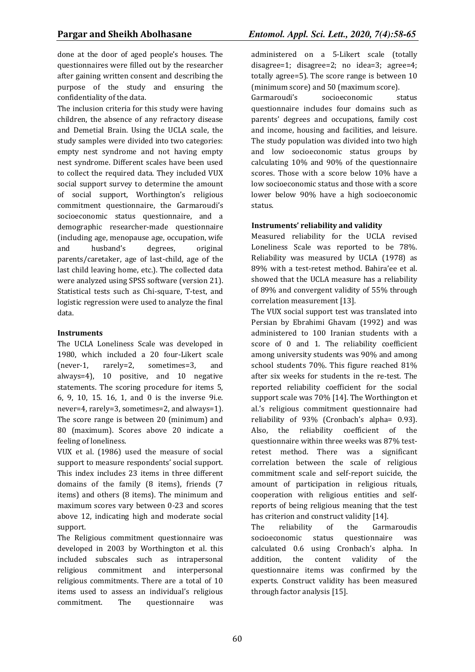done at the door of aged people's houses. The questionnaires were filled out by the researcher after gaining written consent and describing the purpose of the study and ensuring the confidentiality of the data.

The inclusion criteria for this study were having children, the absence of any refractory disease and Demetial Brain. Using the UCLA scale, the study samples were divided into two categories: empty nest syndrome and not having empty nest syndrome. Different scales have been used to collect the required data. They included VUX social support survey to determine the amount of social support, Worthington's religious commitment questionnaire, the Garmaroudi's socioeconomic status questionnaire, and a demographic researcher-made questionnaire (including age, menopause age, occupation, wife and husband's degrees, original parents/caretaker, age of last-child, age of the last child leaving home, etc.). The collected data were analyzed using SPSS software (version 21). Statistical tests such as Chi-square, T-test, and logistic regression were used to analyze the final data.

## **Instruments**

The UCLA Loneliness Scale was developed in 1980, which included a 20 four-Likert scale (never-1, rarely=2, sometimes=3, and always=4), 10 positive, and 10 negative statements. The scoring procedure for items 5, 6, 9, 10, 15. 16, 1, and 0 is the inverse 9i.e. never=4, rarely=3, sometimes=2, and always=1). The score range is between 20 (minimum) and 80 (maximum). Scores above 20 indicate a feeling of loneliness.

VUX et al. (1986) used the measure of social support to measure respondents' social support. This index includes 23 items in three different domains of the family (8 items), friends (7 items) and others (8 items). The minimum and maximum scores vary between 0-23 and scores above 12, indicating high and moderate social support.

The Religious commitment questionnaire was developed in 2003 by Worthington et al. this included subscales such as intrapersonal religious commitment and interpersonal religious commitments. There are a total of 10 items used to assess an individual's religious commitment. The questionnaire was

administered on a 5-Likert scale (totally disagree=1; disagree=2; no idea=3; agree=4; totally agree=5). The score range is between 10 (minimum score) and 50 (maximum score).

Garmaroudi's socioeconomic status questionnaire includes four domains such as parents' degrees and occupations, family cost and income, housing and facilities, and leisure. The study population was divided into two high and low socioeconomic status groups by calculating 10% and 90% of the questionnaire scores. Those with a score below 10% have a low socioeconomic status and those with a score lower below 90% have a high socioeconomic status.

# **Instruments' reliability and validity**

Measured reliability for the UCLA revised Loneliness Scale was reported to be 78%. Reliability was measured by UCLA (1978) as 89% with a test-retest method. Bahira'ee et al. showed that the UCLA measure has a reliability of 89% and convergent validity of 55% through correlation measurement [13].

The VUX social support test was translated into Persian by Ebrahimi Ghavam (1992) and was administered to 100 Iranian students with a score of 0 and 1. The reliability coefficient among university students was 90% and among school students 70%. This figure reached 81% after six weeks for students in the re-test. The reported reliability coefficient for the social support scale was 70% [14]. The Worthington et al.'s religious commitment questionnaire had reliability of 93% (Cronbach's alpha= 0.93). Also, the reliability coefficient of the questionnaire within three weeks was 87% testretest method. There was a significant correlation between the scale of religious commitment scale and self-report suicide, the amount of participation in religious rituals, cooperation with religious entities and selfreports of being religious meaning that the test has criterion and construct validity [14].

The reliability of the Garmaroudis socioeconomic status questionnaire was calculated 0.6 using Cronbach's alpha. In addition, the content validity of the questionnaire items was confirmed by the experts. Construct validity has been measured through factor analysis [15].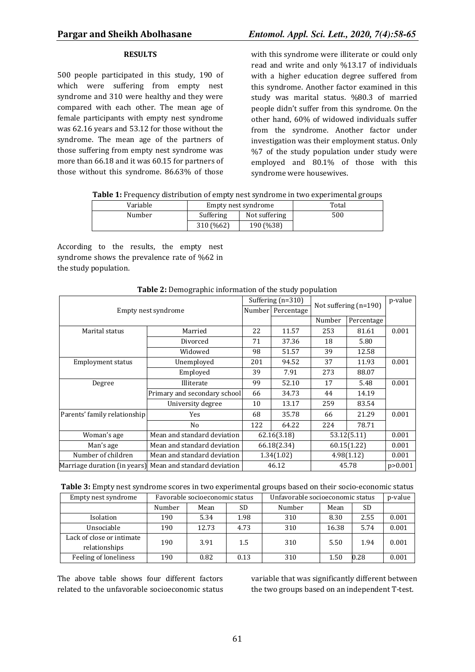#### **RESULTS**

500 people participated in this study, 190 of which were suffering from empty nest syndrome and 310 were healthy and they were compared with each other. The mean age of female participants with empty nest syndrome was 62.16 years and 53.12 for those without the syndrome. The mean age of the partners of those suffering from empty nest syndrome was more than 66.18 and it was 60.15 for partners of those without this syndrome. 86.63% of those

with this syndrome were illiterate or could only read and write and only %13.17 of individuals with a higher education degree suffered from this syndrome. Another factor examined in this study was marital status. %80.3 of married people didn't suffer from this syndrome. On the other hand, 60% of widowed individuals suffer from the syndrome. Another factor under investigation was their employment status. Only %7 of the study population under study were employed and 80.1% of those with this syndrome were housewives.

| Table 1: Frequency distribution of empty nest syndrome in two experimental groups |  |  |
|-----------------------------------------------------------------------------------|--|--|
|-----------------------------------------------------------------------------------|--|--|

| Variable |                            | Empty nest syndrome | Total |
|----------|----------------------------|---------------------|-------|
| Number   | Suffering<br>Not suffering |                     | 500   |
|          | 310 (%62)                  | 190 (%38)           |       |

According to the results, the empty nest syndrome shows the prevalence rate of %62 in the study population.

|                              |                                                          |        | Suffering (n=310)          | Not suffering (n=190) |             | p-value   |
|------------------------------|----------------------------------------------------------|--------|----------------------------|-----------------------|-------------|-----------|
| Empty nest syndrome          |                                                          | Number | Percentage                 |                       |             |           |
|                              |                                                          |        |                            | Number                | Percentage  |           |
| Marital status               | Married                                                  | 22     | 11.57                      | 253                   | 81.61       | 0.001     |
|                              | Divorced                                                 | 71     | 37.36                      | 18                    | 5.80        |           |
|                              | Widowed                                                  | 98     | 51.57                      | 39                    | 12.58       |           |
| Employment status            | Unemploved                                               | 201    | 94.52                      | 37                    | 11.93       | 0.001     |
|                              | Employed                                                 | 39     | 7.91                       | 273                   | 88.07       |           |
| Degree                       | Illiterate                                               | 99     | 52.10                      | 17                    | 5.48        | 0.001     |
|                              | Primary and secondary school                             | 66     | 34.73                      | 44                    | 14.19       |           |
|                              | University degree                                        | 10     | 13.17                      | 259                   | 83.54       |           |
| Parents' family relationship | Yes                                                      | 68     | 35.78                      | 66                    | 21.29       | 0.001     |
|                              | No                                                       | 122    | 64.22                      | 224                   | 78.71       |           |
| Woman's age                  | Mean and standard deviation                              |        | 62.16(3.18)<br>53.12(5.11) |                       | 0.001       |           |
| Man's age                    | Mean and standard deviation                              |        | 66.18(2.34)                |                       | 60.15(1.22) | 0.001     |
| Number of children           | Mean and standard deviation                              |        | 1.34(1.02)                 |                       | 4.98(1.12)  | 0.001     |
|                              | Marriage duration (in years) Mean and standard deviation |        | 46.12                      |                       | 45.78       | p > 0.001 |

**Table 2:** Demographic information of the study population

| Table 3: Empty nest syndrome scores in two experimental groups based on their socio-economic status |  |  |
|-----------------------------------------------------------------------------------------------------|--|--|
|-----------------------------------------------------------------------------------------------------|--|--|

| Empty nest syndrome                        |        | Favorable socioeconomic status |           | Unfavorable socioeconomic status |       |      | p-value |
|--------------------------------------------|--------|--------------------------------|-----------|----------------------------------|-------|------|---------|
|                                            | Number | Mean                           | <b>SD</b> | Number                           | Mean  | SD   |         |
| Isolation                                  | 190    | 5.34                           | 1.98      | 310                              | 8.30  | 2.55 | 0.001   |
| Unsociable                                 | 190    | 12.73                          | 4.73      | 310                              | 16.38 | 5.74 | 0.001   |
| Lack of close or intimate<br>relationships | 190    | 3.91                           | 1.5       | 310                              | 5.50  | 1.94 | 0.001   |
| Feeling of loneliness                      | 190    | 0.82                           | 0.13      | 310                              | 1.50  | 0.28 | 0.001   |

The above table shows four different factors related to the unfavorable socioeconomic status variable that was significantly different between the two groups based on an independent T-test.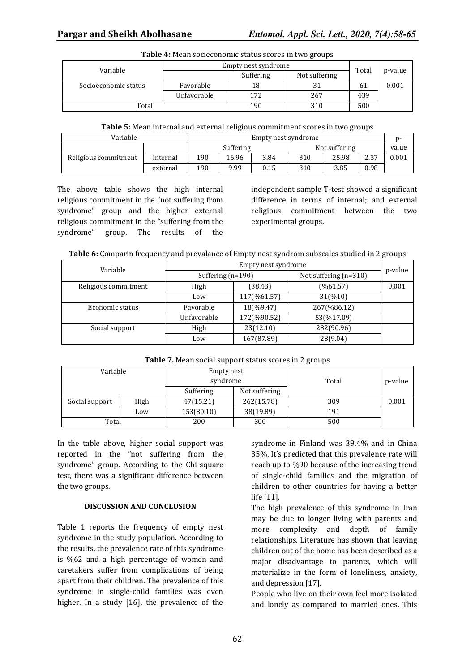| <b>Table 1.</b> Pican Societonomic Status Scores in two groups |                     |           |               |       |         |  |  |
|----------------------------------------------------------------|---------------------|-----------|---------------|-------|---------|--|--|
| Variable                                                       | Empty nest syndrome |           |               |       |         |  |  |
|                                                                |                     | Suffering | Not suffering | Total | p-value |  |  |
| Socioeconomic status                                           | Favorable           | 18        |               | 61    | 0.001   |  |  |
|                                                                | Unfavorable         | 172       | 267           | 439   |         |  |  |
| Total                                                          |                     | 190       | 310           | 500   |         |  |  |

### **Table 4:** Mean socieconomic status scores in two groups

| <b>Table 5:</b> Mean internal and external religious commitment scores in two groups |  |  |
|--------------------------------------------------------------------------------------|--|--|
|--------------------------------------------------------------------------------------|--|--|

| Variable             |          | Empty nest syndrome |       |      | n-            |       |      |       |
|----------------------|----------|---------------------|-------|------|---------------|-------|------|-------|
|                      |          | Suffering           |       |      | Not suffering |       |      | value |
| Religious commitment | Internal | 190                 | 16.96 | 3.84 | 310           | 25.98 | 2.37 | 0.001 |
|                      | external | 190                 | 9.99  | 0.15 | 310           | 3.85  | 0.98 |       |

The above table shows the high internal religious commitment in the "not suffering from syndrome" group and the higher external religious commitment in the "suffering from the syndrome" group. The results of the independent sample T-test showed a significant difference in terms of internal; and external religious commitment between the two experimental groups.

**Table 6:** Comparin frequency and prevalance of Empty nest syndrom subscales studied in 2 groups

| Variable             | Empty nest syndrome |             |                         |         |  |
|----------------------|---------------------|-------------|-------------------------|---------|--|
|                      | Suffering $(n=190)$ |             | Not suffering $(n=310)$ | p-value |  |
| Religious commitment | High                | (38.43)     | (% 61.57)               | 0.001   |  |
|                      | Low                 | 117(%61.57) | 31(%10)                 |         |  |
| Economic status      | Favorable           | 18(%9.47)   | 267(%86.12)             |         |  |
|                      | Unfavorable         | 172(%90.52) | 53(%17.09)              |         |  |
| Social support       | High                | 23(12.10)   | 282(90.96)              |         |  |
|                      | Low                 | 167(87.89)  | 28(9.04)                |         |  |

| Variable       |      | Empty nest<br>syndrome |               | Total | p-value |
|----------------|------|------------------------|---------------|-------|---------|
|                |      | Suffering              | Not suffering |       |         |
| Social support | High | 47(15.21)              | 262(15.78)    | 309   | 0.001   |
|                | Low  | 153(80.10)             | 38(19.89)     | 191   |         |
| Total          |      | 200                    | 300           | 500   |         |

**Table 7.** Mean social support status scores in 2 groups

In the table above, higher social support was reported in the "not suffering from the syndrome" group. According to the Chi-square test, there was a significant difference between the two groups.

#### **DISCUSSION AND CONCLUSION**

Table 1 reports the frequency of empty nest syndrome in the study population. According to the results, the prevalence rate of this syndrome is %62 and a high percentage of women and caretakers suffer from complications of being apart from their children. The prevalence of this syndrome in single-child families was even higher. In a study [16], the prevalence of the

syndrome in Finland was 39.4% and in China 35%. It's predicted that this prevalence rate will reach up to %90 because of the increasing trend of single-child families and the migration of children to other countries for having a better life [11].

The high prevalence of this syndrome in Iran may be due to longer living with parents and more complexity and depth of family relationships. Literature has shown that leaving children out of the home has been described as a major disadvantage to parents, which will materialize in the form of loneliness, anxiety, and depression [17].

People who live on their own feel more isolated and lonely as compared to married ones. This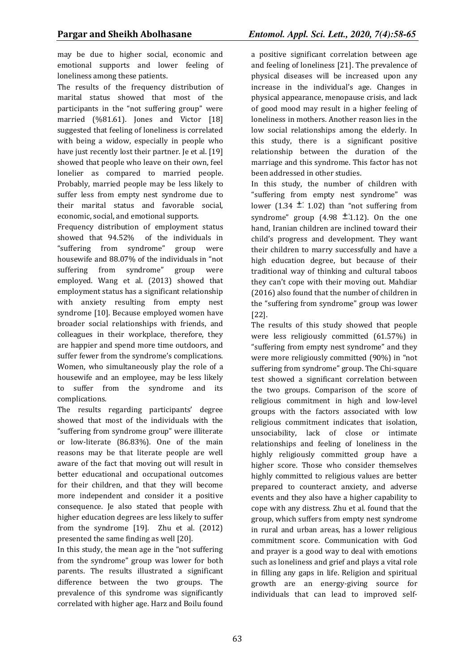may be due to higher social, economic and emotional supports and lower feeling of loneliness among these patients.

The results of the frequency distribution of marital status showed that most of the participants in the "not suffering group" were married (%81.61). Jones and Victor [18] suggested that feeling of loneliness is correlated with being a widow, especially in people who have just recently lost their partner. Je et al. [19] showed that people who leave on their own, feel lonelier as compared to married people. Probably, married people may be less likely to suffer less from empty nest syndrome due to their marital status and favorable social, economic, social, and emotional supports.

Frequency distribution of employment status showed that 94.52% of the individuals in "suffering from syndrome" group were housewife and 88.07% of the individuals in "not suffering from syndrome" group were employed. Wang et al. (2013) showed that employment status has a significant relationship with anxiety resulting from empty nest syndrome [10]. Because employed women have broader social relationships with friends, and colleagues in their workplace, therefore, they are happier and spend more time outdoors, and suffer fewer from the syndrome's complications. Women, who simultaneously play the role of a housewife and an employee, may be less likely to suffer from the syndrome and its complications.

The results regarding participants' degree showed that most of the individuals with the "suffering from syndrome group" were illiterate or low-literate (86.83%). One of the main reasons may be that literate people are well aware of the fact that moving out will result in better educational and occupational outcomes for their children, and that they will become more independent and consider it a positive consequence. Je also stated that people with higher education degrees are less likely to suffer from the syndrome [19]. Zhu et al. (2012) presented the same finding as well [20].

In this study, the mean age in the "not suffering from the syndrome" group was lower for both parents. The results illustrated a significant difference between the two groups. The prevalence of this syndrome was significantly correlated with higher age. Harz and Boilu found

a positive significant correlation between age and feeling of loneliness [21]. The prevalence of physical diseases will be increased upon any increase in the individual's age. Changes in physical appearance, menopause crisis, and lack of good mood may result in a higher feeling of loneliness in mothers. Another reason lies in the low social relationships among the elderly. In this study, there is a significant positive relationship between the duration of the marriage and this syndrome. This factor has not been addressed in other studies.

In this study, the number of children with "suffering from empty nest syndrome" was lower (1.34  $\pm$  1.02) than "not suffering from syndrome" group  $(4.98 \pm 1.12)$ . On the one hand, Iranian children are inclined toward their child's progress and development. They want their children to marry successfully and have a high education degree, but because of their traditional way of thinking and cultural taboos they can't cope with their moving out. Mahdiar (2016) also found that the number of children in the "suffering from syndrome" group was lower [22].

The results of this study showed that people were less religiously committed (61.57%) in "suffering from empty nest syndrome" and they were more religiously committed (90%) in "not suffering from syndrome" group. The Chi-square test showed a significant correlation between the two groups. Comparison of the score of religious commitment in high and low-level groups with the factors associated with low religious commitment indicates that isolation, unsociability, lack of close or intimate relationships and feeling of loneliness in the highly religiously committed group have a higher score. Those who consider themselves highly committed to religious values are better prepared to counteract anxiety, and adverse events and they also have a higher capability to cope with any distress. Zhu et al. found that the group, which suffers from empty nest syndrome in rural and urban areas, has a lower religious commitment score. Communication with God and prayer is a good way to deal with emotions such as loneliness and grief and plays a vital role in filling any gaps in life. Religion and spiritual growth are an energy-giving source for individuals that can lead to improved self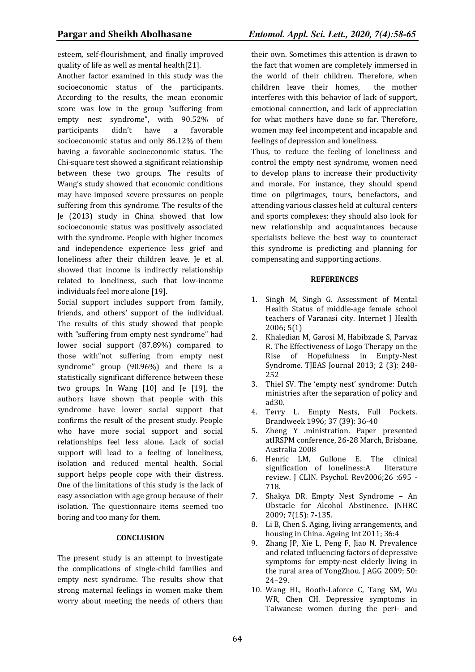esteem, self-flourishment, and finally improved quality of life as well as mental health[21].

Another factor examined in this study was the socioeconomic status of the participants. According to the results, the mean economic score was low in the group "suffering from empty nest syndrome", with 90.52% of participants didn't have a favorable socioeconomic status and only 86.12% of them having a favorable socioeconomic status. The Chi-square test showed a significant relationship between these two groups. The results of Wang's study showed that economic conditions may have imposed severe pressures on people suffering from this syndrome. The results of the Je (2013) study in China showed that low socioeconomic status was positively associated with the syndrome. People with higher incomes and independence experience less grief and loneliness after their children leave. Je et al. showed that income is indirectly relationship related to loneliness, such that low-income individuals feel more alone [19].

Social support includes support from family, friends, and others' support of the individual. The results of this study showed that people with "suffering from empty nest syndrome" had lower social support (87.89%) compared to those with"not suffering from empty nest syndrome" group (90.96%) and there is a statistically significant difference between these two groups. In Wang [10] and Je [19], the authors have shown that people with this syndrome have lower social support that confirms the result of the present study. People who have more social support and social relationships feel less alone. Lack of social support will lead to a feeling of loneliness, isolation and reduced mental health. Social support helps people cope with their distress. One of the limitations of this study is the lack of easy association with age group because of their isolation. The questionnaire items seemed too boring and too many for them.

### **CONCLUSION**

The present study is an attempt to investigate the complications of single-child families and empty nest syndrome. The results show that strong maternal feelings in women make them worry about meeting the needs of others than their own. Sometimes this attention is drawn to the fact that women are completely immersed in the world of their children. Therefore, when children leave their homes, the mother interferes with this behavior of lack of support, emotional connection, and lack of appreciation for what mothers have done so far. Therefore, women may feel incompetent and incapable and feelings of depression and loneliness.

Thus, to reduce the feeling of loneliness and control the empty nest syndrome, women need to develop plans to increase their productivity and morale. For instance, they should spend time on pilgrimages, tours, benefactors, and attending various classes held at cultural centers and sports complexes; they should also look for new relationship and acquaintances because specialists believe the best way to counteract this syndrome is predicting and planning for compensating and supporting actions.

#### **REFERENCES**

- 1. Singh M, Singh G. Assessment of Mental Health Status of middle-age female school teachers of Varanasi city. Internet J Health 2006; 5(1)
- 2. Khaledian M, Garosi M, Habibzade S, Parvaz R. The Effectiveness of Logo Therapy on the Rise of Hopefulness in Empty-Nest Syndrome. TJEAS Journal 2013; 2 (3): 248- 252
- 3. Thiel SV. The 'empty nest' syndrome: Dutch ministries after the separation of policy and ad30.
- 4. Terry L. Empty Nests, Full Pockets. Brandweek 1996; 37 (39): 36-40
- 5. Zheng Y .ministration. Paper presented atIRSPM conference, 26-28 March, Brisbane, Australia 2008
- 6. Henric LM, Gullone E. The clinical signification of loneliness:A literature review. J CLIN. Psychol. Rev2006;26 :695 - 718.
- 7. Shakya DR. Empty Nest Syndrome An Obstacle for Alcohol Abstinence. JNHRC 2009; 7(15): 7-135.
- 8. Li B, Chen S. Aging, living arrangements, and housing in China. Ageing Int 2011; 36:4
- 9. Zhang JP, Xie L, Peng F, Jiao N. Prevalence and related influencing factors of depressive symptoms for empty-nest elderly living in the rural area of YongZhou. J AGG 2009; 50: 24–29.
- 10. Wang HL, Booth-Laforce C, Tang SM, Wu WR, Chen CH. Depressive symptoms in Taiwanese women during the peri- and